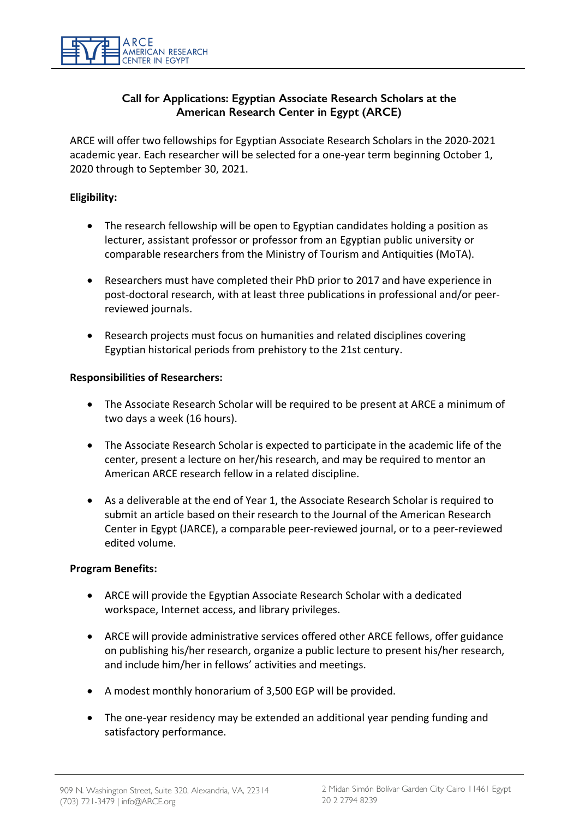

## **Call for Applications: Egyptian Associate Research Scholars at the American Research Center in Egypt (ARCE)**

ARCE will offer two fellowships for Egyptian Associate Research Scholars in the 2020-2021 academic year. Each researcher will be selected for a one-year term beginning October 1, 2020 through to September 30, 2021.

## **Eligibility:**

- The research fellowship will be open to Egyptian candidates holding a position as lecturer, assistant professor or professor from an Egyptian public university or comparable researchers from the Ministry of Tourism and Antiquities (MoTA).
- Researchers must have completed their PhD prior to 2017 and have experience in post-doctoral research, with at least three publications in professional and/or peerreviewed journals.
- Research projects must focus on humanities and related disciplines covering Egyptian historical periods from prehistory to the 21st century.

#### **Responsibilities of Researchers:**

- The Associate Research Scholar will be required to be present at ARCE a minimum of two days a week (16 hours).
- The Associate Research Scholar is expected to participate in the academic life of the center, present a lecture on her/his research, and may be required to mentor an American ARCE research fellow in a related discipline.
- As a deliverable at the end of Year 1, the Associate Research Scholar is required to submit an article based on their research to the Journal of the American Research Center in Egypt (JARCE), a comparable peer-reviewed journal, or to a peer-reviewed edited volume.

#### **Program Benefits:**

- ARCE will provide the Egyptian Associate Research Scholar with a dedicated workspace, Internet access, and library privileges.
- ARCE will provide administrative services offered other ARCE fellows, offer guidance on publishing his/her research, organize a public lecture to present his/her research, and include him/her in fellows' activities and meetings.
- A modest monthly honorarium of 3,500 EGP will be provided.
- The one-year residency may be extended an additional year pending funding and satisfactory performance.